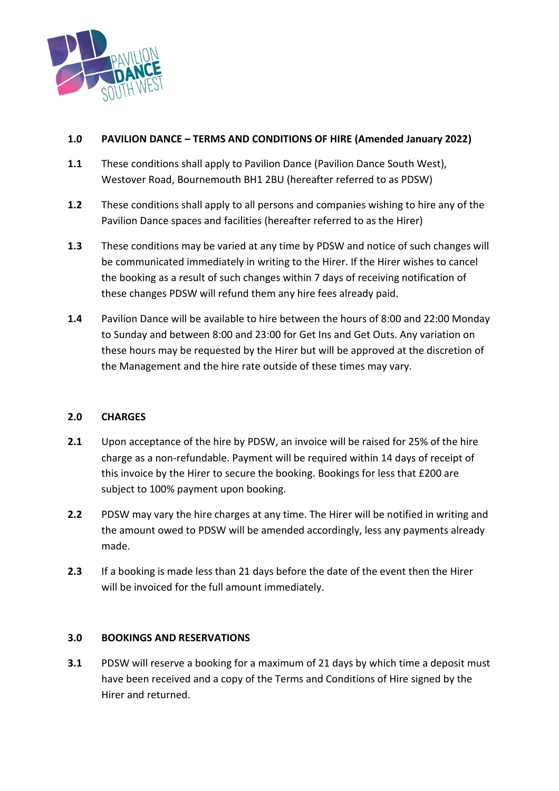

# **1.0 PAVILION DANCE – TERMS AND CONDITIONS OF HIRE (Amended January 2022)**

- **1.1** These conditions shall apply to Pavilion Dance (Pavilion Dance South West), Westover Road, Bournemouth BH1 2BU (hereafter referred to as PDSW)
- **1.2** These conditions shall apply to all persons and companies wishing to hire any of the Pavilion Dance spaces and facilities (hereafter referred to as the Hirer)
- **1.3** These conditions may be varied at any time by PDSW and notice of such changes will be communicated immediately in writing to the Hirer. If the Hirer wishes to cancel the booking as a result of such changes within 7 days of receiving notification of these changes PDSW will refund them any hire fees already paid.
- **1.4** Pavilion Dance will be available to hire between the hours of 8:00 and 22:00 Monday to Sunday and between 8:00 and 23:00 for Get Ins and Get Outs. Any variation on these hours may be requested by the Hirer but will be approved at the discretion of the Management and the hire rate outside of these times may vary.

# **2.0 CHARGES**

- **2.1** Upon acceptance of the hire by PDSW, an invoice will be raised for 25% of the hire charge as a non-refundable. Payment will be required within 14 days of receipt of this invoice by the Hirer to secure the booking. Bookings for less that £200 are subject to 100% payment upon booking.
- **2.2** PDSW may vary the hire charges at any time. The Hirer will be notified in writing and the amount owed to PDSW will be amended accordingly, less any payments already made.
- **2.3** If a booking is made less than 21 days before the date of the event then the Hirer will be invoiced for the full amount immediately.

## **3.0 BOOKINGS AND RESERVATIONS**

**3.1** PDSW will reserve a booking for a maximum of 21 days by which time a deposit must have been received and a copy of the Terms and Conditions of Hire signed by the Hirer and returned.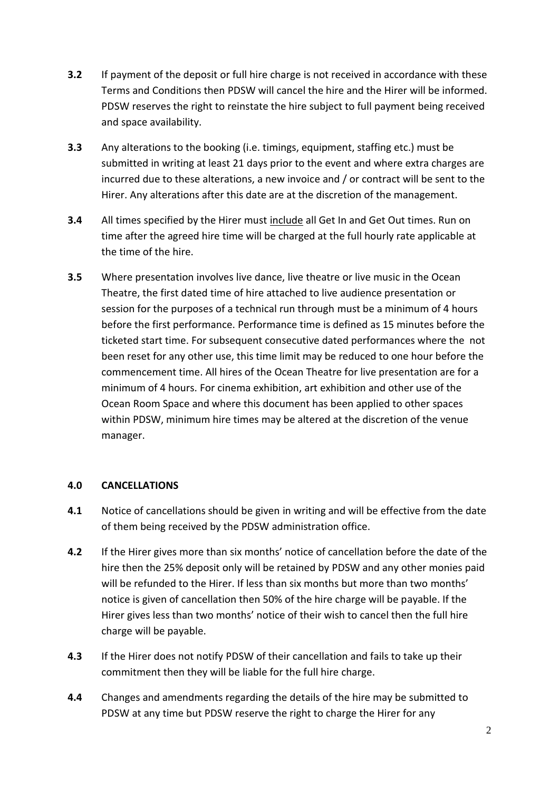- **3.2** If payment of the deposit or full hire charge is not received in accordance with these Terms and Conditions then PDSW will cancel the hire and the Hirer will be informed. PDSW reserves the right to reinstate the hire subject to full payment being received and space availability.
- **3.3** Any alterations to the booking (i.e. timings, equipment, staffing etc.) must be submitted in writing at least 21 days prior to the event and where extra charges are incurred due to these alterations, a new invoice and / or contract will be sent to the Hirer. Any alterations after this date are at the discretion of the management.
- **3.4** All times specified by the Hirer must include all Get In and Get Out times. Run on time after the agreed hire time will be charged at the full hourly rate applicable at the time of the hire.
- **3.5** Where presentation involves live dance, live theatre or live music in the Ocean Theatre, the first dated time of hire attached to live audience presentation or session for the purposes of a technical run through must be a minimum of 4 hours before the first performance. Performance time is defined as 15 minutes before the ticketed start time. For subsequent consecutive dated performances where the not been reset for any other use, this time limit may be reduced to one hour before the commencement time. All hires of the Ocean Theatre for live presentation are for a minimum of 4 hours. For cinema exhibition, art exhibition and other use of the Ocean Room Space and where this document has been applied to other spaces within PDSW, minimum hire times may be altered at the discretion of the venue manager.

## **4.0 CANCELLATIONS**

- **4.1** Notice of cancellations should be given in writing and will be effective from the date of them being received by the PDSW administration office.
- **4.2** If the Hirer gives more than six months' notice of cancellation before the date of the hire then the 25% deposit only will be retained by PDSW and any other monies paid will be refunded to the Hirer. If less than six months but more than two months' notice is given of cancellation then 50% of the hire charge will be payable. If the Hirer gives less than two months' notice of their wish to cancel then the full hire charge will be payable.
- **4.3** If the Hirer does not notify PDSW of their cancellation and fails to take up their commitment then they will be liable for the full hire charge.
- **4.4** Changes and amendments regarding the details of the hire may be submitted to PDSW at any time but PDSW reserve the right to charge the Hirer for any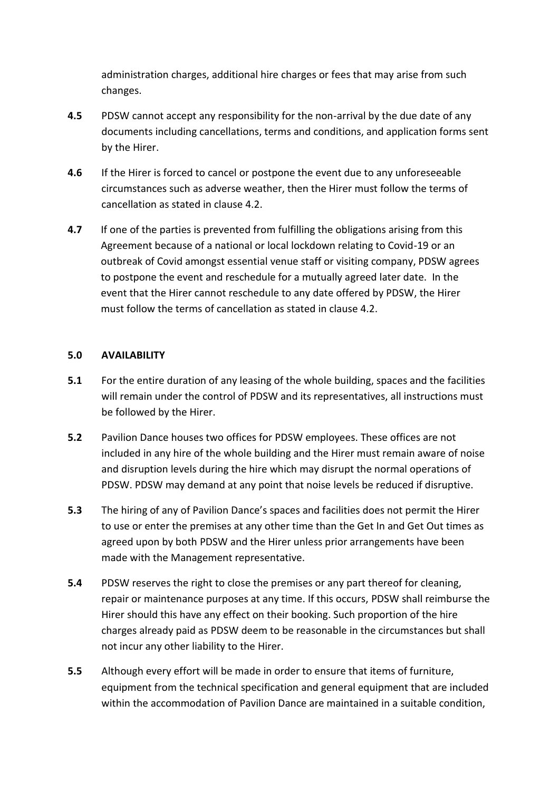administration charges, additional hire charges or fees that may arise from such changes.

- **4.5** PDSW cannot accept any responsibility for the non-arrival by the due date of any documents including cancellations, terms and conditions, and application forms sent by the Hirer.
- **4.6** If the Hirer is forced to cancel or postpone the event due to any unforeseeable circumstances such as adverse weather, then the Hirer must follow the terms of cancellation as stated in clause 4.2.
- **4.7** If one of the parties is prevented from fulfilling the obligations arising from this Agreement because of a national or local lockdown relating to Covid-19 or an outbreak of Covid amongst essential venue staff or visiting company, PDSW agrees to postpone the event and reschedule for a mutually agreed later date. In the event that the Hirer cannot reschedule to any date offered by PDSW, the Hirer must follow the terms of cancellation as stated in clause 4.2.

## **5.0 AVAILABILITY**

- **5.1** For the entire duration of any leasing of the whole building, spaces and the facilities will remain under the control of PDSW and its representatives, all instructions must be followed by the Hirer.
- **5.2** Pavilion Dance houses two offices for PDSW employees. These offices are not included in any hire of the whole building and the Hirer must remain aware of noise and disruption levels during the hire which may disrupt the normal operations of PDSW. PDSW may demand at any point that noise levels be reduced if disruptive.
- **5.3** The hiring of any of Pavilion Dance's spaces and facilities does not permit the Hirer to use or enter the premises at any other time than the Get In and Get Out times as agreed upon by both PDSW and the Hirer unless prior arrangements have been made with the Management representative.
- **5.4** PDSW reserves the right to close the premises or any part thereof for cleaning, repair or maintenance purposes at any time. If this occurs, PDSW shall reimburse the Hirer should this have any effect on their booking. Such proportion of the hire charges already paid as PDSW deem to be reasonable in the circumstances but shall not incur any other liability to the Hirer.
- **5.5** Although every effort will be made in order to ensure that items of furniture, equipment from the technical specification and general equipment that are included within the accommodation of Pavilion Dance are maintained in a suitable condition,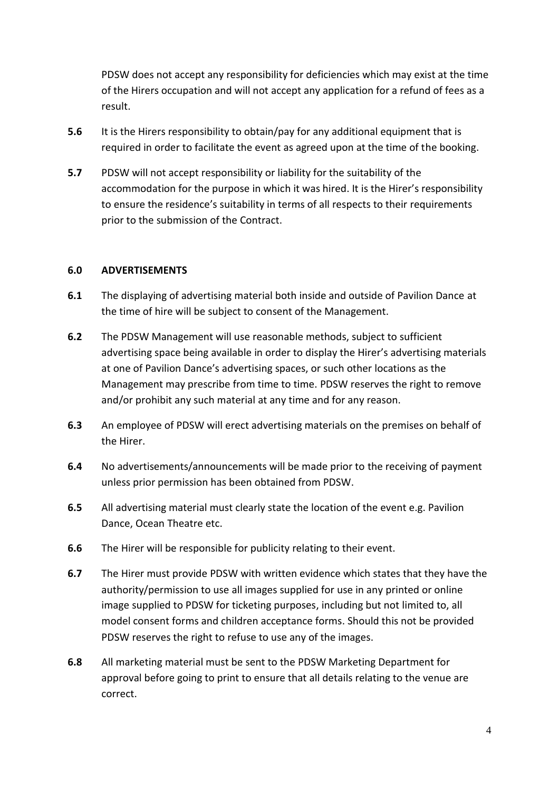PDSW does not accept any responsibility for deficiencies which may exist at the time of the Hirers occupation and will not accept any application for a refund of fees as a result.

- **5.6** It is the Hirers responsibility to obtain/pay for any additional equipment that is required in order to facilitate the event as agreed upon at the time of the booking.
- **5.7** PDSW will not accept responsibility or liability for the suitability of the accommodation for the purpose in which it was hired. It is the Hirer's responsibility to ensure the residence's suitability in terms of all respects to their requirements prior to the submission of the Contract.

## **6.0 ADVERTISEMENTS**

- **6.1** The displaying of advertising material both inside and outside of Pavilion Dance at the time of hire will be subject to consent of the Management.
- **6.2** The PDSW Management will use reasonable methods, subject to sufficient advertising space being available in order to display the Hirer's advertising materials at one of Pavilion Dance's advertising spaces, or such other locations as the Management may prescribe from time to time. PDSW reserves the right to remove and/or prohibit any such material at any time and for any reason.
- **6.3** An employee of PDSW will erect advertising materials on the premises on behalf of the Hirer.
- **6.4** No advertisements/announcements will be made prior to the receiving of payment unless prior permission has been obtained from PDSW.
- **6.5** All advertising material must clearly state the location of the event e.g. Pavilion Dance, Ocean Theatre etc.
- **6.6** The Hirer will be responsible for publicity relating to their event.
- **6.7** The Hirer must provide PDSW with written evidence which states that they have the authority/permission to use all images supplied for use in any printed or online image supplied to PDSW for ticketing purposes, including but not limited to, all model consent forms and children acceptance forms. Should this not be provided PDSW reserves the right to refuse to use any of the images.
- **6.8** All marketing material must be sent to the PDSW Marketing Department for approval before going to print to ensure that all details relating to the venue are correct.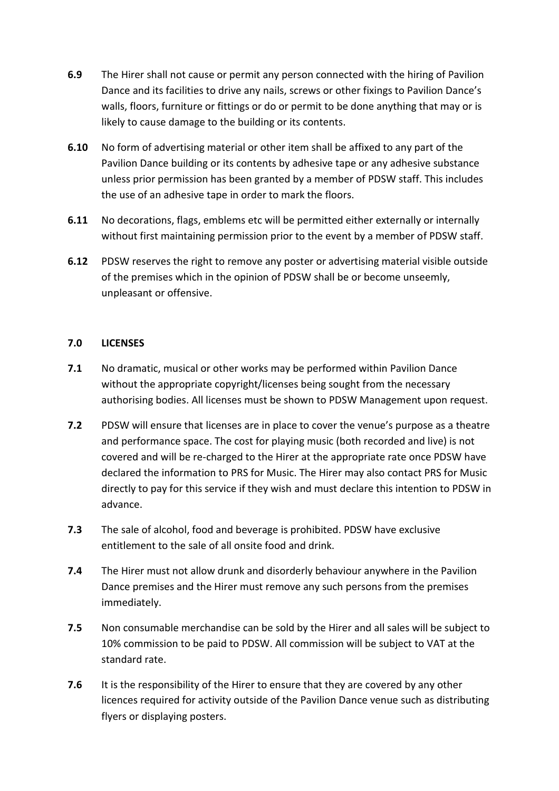- **6.9** The Hirer shall not cause or permit any person connected with the hiring of Pavilion Dance and its facilities to drive any nails, screws or other fixings to Pavilion Dance's walls, floors, furniture or fittings or do or permit to be done anything that may or is likely to cause damage to the building or its contents.
- **6.10** No form of advertising material or other item shall be affixed to any part of the Pavilion Dance building or its contents by adhesive tape or any adhesive substance unless prior permission has been granted by a member of PDSW staff. This includes the use of an adhesive tape in order to mark the floors.
- **6.11** No decorations, flags, emblems etc will be permitted either externally or internally without first maintaining permission prior to the event by a member of PDSW staff.
- **6.12** PDSW reserves the right to remove any poster or advertising material visible outside of the premises which in the opinion of PDSW shall be or become unseemly, unpleasant or offensive.

## **7.0 LICENSES**

- **7.1** No dramatic, musical or other works may be performed within Pavilion Dance without the appropriate copyright/licenses being sought from the necessary authorising bodies. All licenses must be shown to PDSW Management upon request.
- **7.2** PDSW will ensure that licenses are in place to cover the venue's purpose as a theatre and performance space. The cost for playing music (both recorded and live) is not covered and will be re-charged to the Hirer at the appropriate rate once PDSW have declared the information to PRS for Music. The Hirer may also contact PRS for Music directly to pay for this service if they wish and must declare this intention to PDSW in advance.
- **7.3** The sale of alcohol, food and beverage is prohibited. PDSW have exclusive entitlement to the sale of all onsite food and drink.
- **7.4** The Hirer must not allow drunk and disorderly behaviour anywhere in the Pavilion Dance premises and the Hirer must remove any such persons from the premises immediately.
- **7.5** Non consumable merchandise can be sold by the Hirer and all sales will be subject to 10% commission to be paid to PDSW. All commission will be subject to VAT at the standard rate.
- **7.6** It is the responsibility of the Hirer to ensure that they are covered by any other licences required for activity outside of the Pavilion Dance venue such as distributing flyers or displaying posters.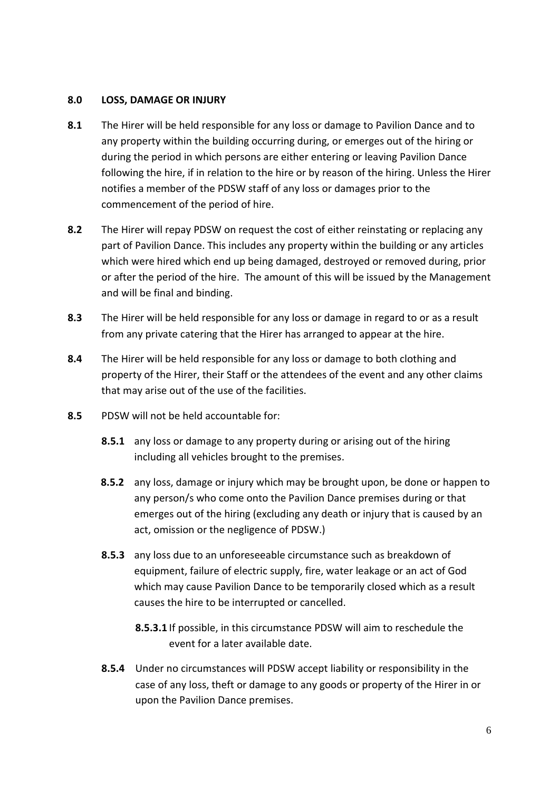#### **8.0 LOSS, DAMAGE OR INJURY**

- **8.1** The Hirer will be held responsible for any loss or damage to Pavilion Dance and to any property within the building occurring during, or emerges out of the hiring or during the period in which persons are either entering or leaving Pavilion Dance following the hire, if in relation to the hire or by reason of the hiring. Unless the Hirer notifies a member of the PDSW staff of any loss or damages prior to the commencement of the period of hire.
- **8.2** The Hirer will repay PDSW on request the cost of either reinstating or replacing any part of Pavilion Dance. This includes any property within the building or any articles which were hired which end up being damaged, destroyed or removed during, prior or after the period of the hire. The amount of this will be issued by the Management and will be final and binding.
- **8.3** The Hirer will be held responsible for any loss or damage in regard to or as a result from any private catering that the Hirer has arranged to appear at the hire.
- **8.4** The Hirer will be held responsible for any loss or damage to both clothing and property of the Hirer, their Staff or the attendees of the event and any other claims that may arise out of the use of the facilities.
- **8.5** PDSW will not be held accountable for:
	- **8.5.1** any loss or damage to any property during or arising out of the hiring including all vehicles brought to the premises.
	- **8.5.2** any loss, damage or injury which may be brought upon, be done or happen to any person/s who come onto the Pavilion Dance premises during or that emerges out of the hiring (excluding any death or injury that is caused by an act, omission or the negligence of PDSW.)
	- **8.5.3** any loss due to an unforeseeable circumstance such as breakdown of equipment, failure of electric supply, fire, water leakage or an act of God which may cause Pavilion Dance to be temporarily closed which as a result causes the hire to be interrupted or cancelled.
		- **8.5.3.1** If possible, in this circumstance PDSW will aim to reschedule the event for a later available date.
	- **8.5.4** Under no circumstances will PDSW accept liability or responsibility in the case of any loss, theft or damage to any goods or property of the Hirer in or upon the Pavilion Dance premises.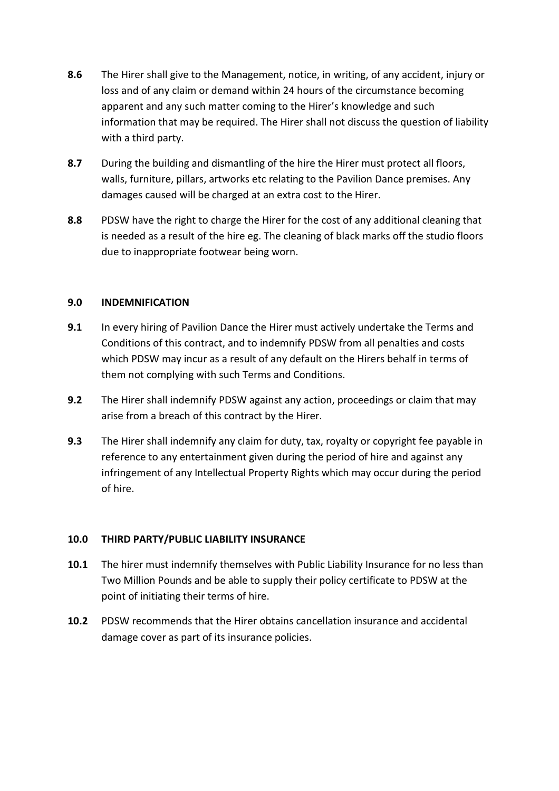- **8.6** The Hirer shall give to the Management, notice, in writing, of any accident, injury or loss and of any claim or demand within 24 hours of the circumstance becoming apparent and any such matter coming to the Hirer's knowledge and such information that may be required. The Hirer shall not discuss the question of liability with a third party.
- **8.7** During the building and dismantling of the hire the Hirer must protect all floors, walls, furniture, pillars, artworks etc relating to the Pavilion Dance premises. Any damages caused will be charged at an extra cost to the Hirer.
- **8.8** PDSW have the right to charge the Hirer for the cost of any additional cleaning that is needed as a result of the hire eg. The cleaning of black marks off the studio floors due to inappropriate footwear being worn.

## **9.0 INDEMNIFICATION**

- **9.1** In every hiring of Pavilion Dance the Hirer must actively undertake the Terms and Conditions of this contract, and to indemnify PDSW from all penalties and costs which PDSW may incur as a result of any default on the Hirers behalf in terms of them not complying with such Terms and Conditions.
- **9.2** The Hirer shall indemnify PDSW against any action, proceedings or claim that may arise from a breach of this contract by the Hirer.
- **9.3** The Hirer shall indemnify any claim for duty, tax, royalty or copyright fee payable in reference to any entertainment given during the period of hire and against any infringement of any Intellectual Property Rights which may occur during the period of hire.

## **10.0 THIRD PARTY/PUBLIC LIABILITY INSURANCE**

- **10.1** The hirer must indemnify themselves with Public Liability Insurance for no less than Two Million Pounds and be able to supply their policy certificate to PDSW at the point of initiating their terms of hire.
- **10.2** PDSW recommends that the Hirer obtains cancellation insurance and accidental damage cover as part of its insurance policies.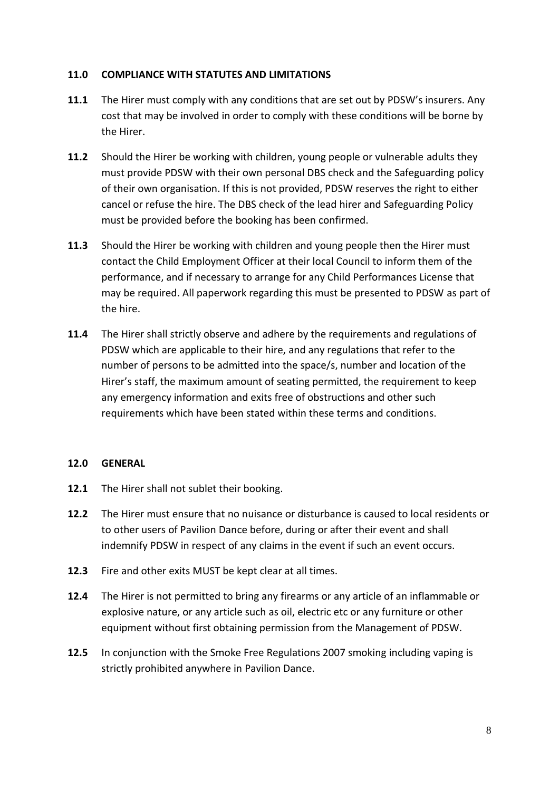## **11.0 COMPLIANCE WITH STATUTES AND LIMITATIONS**

- **11.1** The Hirer must comply with any conditions that are set out by PDSW's insurers. Any cost that may be involved in order to comply with these conditions will be borne by the Hirer.
- **11.2** Should the Hirer be working with children, young people or vulnerable adults they must provide PDSW with their own personal DBS check and the Safeguarding policy of their own organisation. If this is not provided, PDSW reserves the right to either cancel or refuse the hire. The DBS check of the lead hirer and Safeguarding Policy must be provided before the booking has been confirmed.
- **11.3** Should the Hirer be working with children and young people then the Hirer must contact the Child Employment Officer at their local Council to inform them of the performance, and if necessary to arrange for any Child Performances License that may be required. All paperwork regarding this must be presented to PDSW as part of the hire.
- **11.4** The Hirer shall strictly observe and adhere by the requirements and regulations of PDSW which are applicable to their hire, and any regulations that refer to the number of persons to be admitted into the space/s, number and location of the Hirer's staff, the maximum amount of seating permitted, the requirement to keep any emergency information and exits free of obstructions and other such requirements which have been stated within these terms and conditions.

## **12.0 GENERAL**

- **12.1** The Hirer shall not sublet their booking.
- **12.2** The Hirer must ensure that no nuisance or disturbance is caused to local residents or to other users of Pavilion Dance before, during or after their event and shall indemnify PDSW in respect of any claims in the event if such an event occurs.
- **12.3** Fire and other exits MUST be kept clear at all times.
- **12.4** The Hirer is not permitted to bring any firearms or any article of an inflammable or explosive nature, or any article such as oil, electric etc or any furniture or other equipment without first obtaining permission from the Management of PDSW.
- **12.5** In conjunction with the Smoke Free Regulations 2007 smoking including vaping is strictly prohibited anywhere in Pavilion Dance.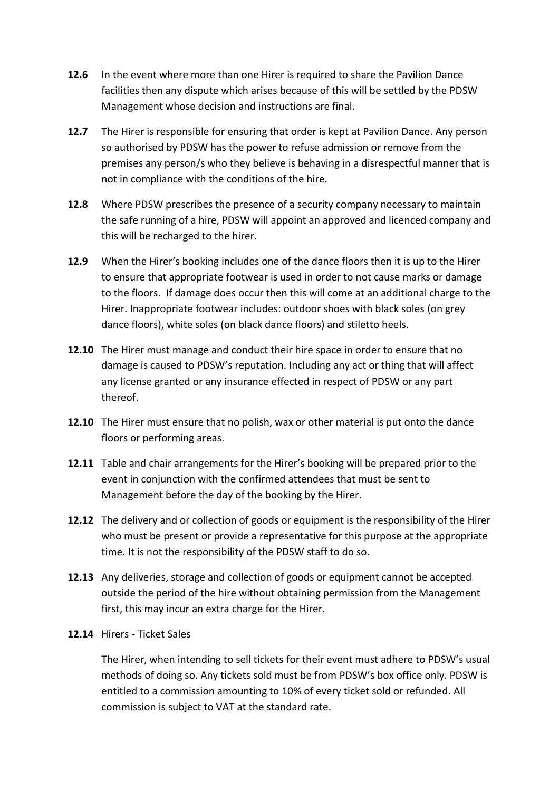- **12.6** In the event where more than one Hirer is required to share the Pavilion Dance facilities then any dispute which arises because of this will be settled by the PDSW Management whose decision and instructions are final.
- **12.7** The Hirer is responsible for ensuring that order is kept at Pavilion Dance. Any person so authorised by PDSW has the power to refuse admission or remove from the premises any person/s who they believe is behaving in a disrespectful manner that is not in compliance with the conditions of the hire.
- **12.8** Where PDSW prescribes the presence of a security company necessary to maintain the safe running of a hire, PDSW will appoint an approved and licenced company and this will be recharged to the hirer.
- **12.9** When the Hirer's booking includes one of the dance floors then it is up to the Hirer to ensure that appropriate footwear is used in order to not cause marks or damage to the floors. If damage does occur then this will come at an additional charge to the Hirer. Inappropriate footwear includes: outdoor shoes with black soles (on grey dance floors), white soles (on black dance floors) and stiletto heels.
- **12.10** The Hirer must manage and conduct their hire space in order to ensure that no damage is caused to PDSW's reputation. Including any act or thing that will affect any license granted or any insurance effected in respect of PDSW or any part thereof.
- **12.10** The Hirer must ensure that no polish, wax or other material is put onto the dance floors or performing areas.
- **12.11** Table and chair arrangements for the Hirer's booking will be prepared prior to the event in conjunction with the confirmed attendees that must be sent to Management before the day of the booking by the Hirer.
- **12.12** The delivery and or collection of goods or equipment is the responsibility of the Hirer who must be present or provide a representative for this purpose at the appropriate time. It is not the responsibility of the PDSW staff to do so.
- **12.13** Any deliveries, storage and collection of goods or equipment cannot be accepted outside the period of the hire without obtaining permission from the Management first, this may incur an extra charge for the Hirer.
- **12.14** Hirers Ticket Sales

The Hirer, when intending to sell tickets for their event must adhere to PDSW's usual methods of doing so. Any tickets sold must be from PDSW's box office only. PDSW is entitled to a commission amounting to 10% of every ticket sold or refunded. All commission is subject to VAT at the standard rate.